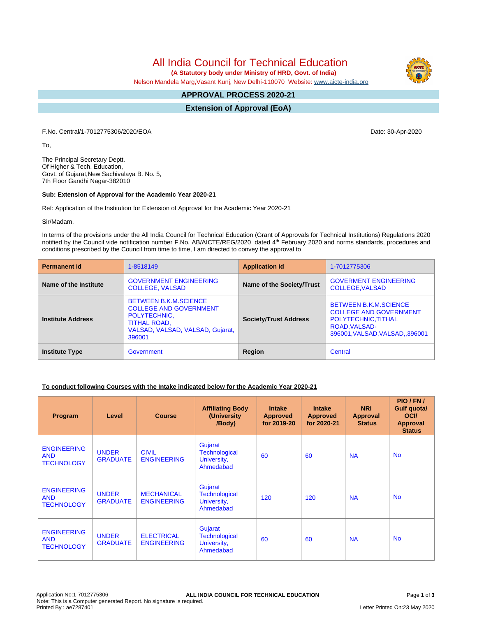# All India Council for Technical Education

 **(A Statutory body under Ministry of HRD, Govt. of India)**

Nelson Mandela Marg,Vasant Kunj, New Delhi-110070 Website: [www.aicte-india.org](http://www.aicte-india.org)

#### **APPROVAL PROCESS 2020-21 -**

**Extension of Approval (EoA)**

F.No. Central/1-7012775306/2020/EOA Date: 30-Apr-2020

To,

The Principal Secretary Deptt. Of Higher & Tech. Education, Govt. of Gujarat,New Sachivalaya B. No. 5, 7th Floor Gandhi Nagar-382010

#### **Sub: Extension of Approval for the Academic Year 2020-21**

Ref: Application of the Institution for Extension of Approval for the Academic Year 2020-21

Sir/Madam,

In terms of the provisions under the All India Council for Technical Education (Grant of Approvals for Technical Institutions) Regulations 2020 notified by the Council vide notification number F.No. AB/AICTE/REG/2020 dated 4<sup>th</sup> February 2020 and norms standards, procedures and conditions prescribed by the Council from time to time, I am directed to convey the approval to

| <b>Permanent Id</b>      | 1-8518149                                                                                                                                          | <b>Application Id</b>        | 1-7012775306                                                                                                                            |
|--------------------------|----------------------------------------------------------------------------------------------------------------------------------------------------|------------------------------|-----------------------------------------------------------------------------------------------------------------------------------------|
| Name of the Institute    | <b>GOVERNMENT ENGINEERING</b><br><b>COLLEGE, VALSAD</b>                                                                                            | Name of the Society/Trust    | <b>GOVERMENT ENGINEERING</b><br><b>COLLEGE.VALSAD</b>                                                                                   |
| <b>Institute Address</b> | <b>BETWEEN B.K.M.SCIENCE</b><br><b>COLLEGE AND GOVERNMENT</b><br>POLYTECHNIC,<br><b>TITHAL ROAD,</b><br>VALSAD, VALSAD, VALSAD, Gujarat,<br>396001 | <b>Society/Trust Address</b> | <b>BETWEEN B.K.M.SCIENCE</b><br><b>COLLEGE AND GOVERNMENT</b><br>POLYTECHNIC, TITHAL<br>ROAD, VALSAD-<br>396001, VALSAD, VALSAD, 396001 |
| <b>Institute Type</b>    | Government                                                                                                                                         | Region                       | Central                                                                                                                                 |

### **To conduct following Courses with the Intake indicated below for the Academic Year 2020-21**

| Program                                               | Level                           | <b>Course</b>                           | <b>Affiliating Body</b><br>(University)<br>/Body)           | <b>Intake</b><br><b>Approved</b><br>for 2019-20 | <b>Intake</b><br><b>Approved</b><br>for 2020-21 | <b>NRI</b><br>Approval<br><b>Status</b> | PIO/FN/<br>Gulf quota/<br><b>OCI</b><br><b>Approval</b><br><b>Status</b> |
|-------------------------------------------------------|---------------------------------|-----------------------------------------|-------------------------------------------------------------|-------------------------------------------------|-------------------------------------------------|-----------------------------------------|--------------------------------------------------------------------------|
| <b>ENGINEERING</b><br><b>AND</b><br><b>TECHNOLOGY</b> | <b>UNDER</b><br><b>GRADUATE</b> | <b>CIVIL</b><br><b>ENGINEERING</b>      | Gujarat<br><b>Technological</b><br>University,<br>Ahmedabad | 60                                              | 60                                              | <b>NA</b>                               | <b>No</b>                                                                |
| <b>ENGINEERING</b><br><b>AND</b><br><b>TECHNOLOGY</b> | <b>UNDER</b><br><b>GRADUATE</b> | <b>MECHANICAL</b><br><b>ENGINEERING</b> | Gujarat<br><b>Technological</b><br>University,<br>Ahmedabad | 120                                             | 120                                             | <b>NA</b>                               | <b>No</b>                                                                |
| <b>ENGINEERING</b><br><b>AND</b><br><b>TECHNOLOGY</b> | <b>UNDER</b><br><b>GRADUATE</b> | <b>ELECTRICAL</b><br><b>ENGINEERING</b> | Gujarat<br><b>Technological</b><br>University,<br>Ahmedabad | 60                                              | 60                                              | <b>NA</b>                               | <b>No</b>                                                                |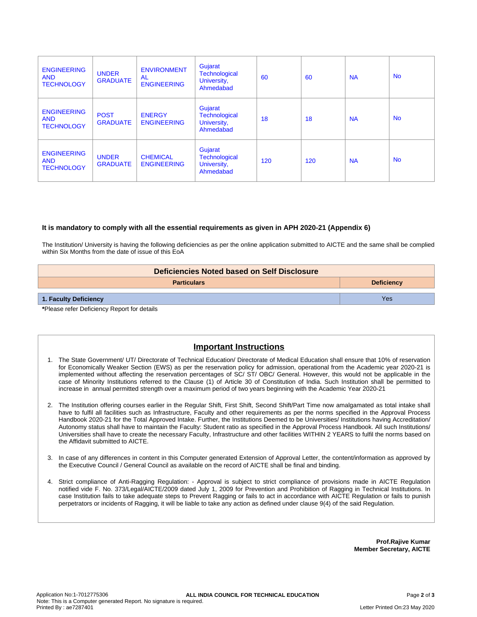| <b>ENGINEERING</b><br><b>AND</b><br><b>TECHNOLOGY</b> | <b>UNDER</b><br><b>GRADUATE</b> | <b>ENVIRONMENT</b><br><b>AL</b><br><b>ENGINEERING</b> | Gujarat<br><b>Technological</b><br>University,<br>Ahmedabad | 60  | 60  | <b>NA</b> | <b>No</b> |
|-------------------------------------------------------|---------------------------------|-------------------------------------------------------|-------------------------------------------------------------|-----|-----|-----------|-----------|
| <b>ENGINEERING</b><br><b>AND</b><br><b>TECHNOLOGY</b> | <b>POST</b><br><b>GRADUATE</b>  | <b>ENERGY</b><br><b>ENGINEERING</b>                   | Gujarat<br><b>Technological</b><br>University,<br>Ahmedabad | 18  | 18  | <b>NA</b> | <b>No</b> |
| <b>ENGINEERING</b><br><b>AND</b><br><b>TECHNOLOGY</b> | <b>UNDER</b><br><b>GRADUATE</b> | <b>CHEMICAL</b><br><b>ENGINEERING</b>                 | Gujarat<br><b>Technological</b><br>University,<br>Ahmedabad | 120 | 120 | <b>NA</b> | <b>No</b> |

#### **It is mandatory to comply with all the essential requirements as given in APH 2020-21 (Appendix 6)**

The Institution/ University is having the following deficiencies as per the online application submitted to AICTE and the same shall be complied within Six Months from the date of issue of this EoA

| Deficiencies Noted based on Self Disclosure |                   |  |  |
|---------------------------------------------|-------------------|--|--|
| <b>Particulars</b>                          | <b>Deficiency</b> |  |  |
| 1. Faculty Deficiency                       | Yes               |  |  |
| *Dlogge refer Deficiency Report for details |                   |  |  |

**\***Please refer Deficiency Report for details

## **Important Instructions**

- 1. The State Government/ UT/ Directorate of Technical Education/ Directorate of Medical Education shall ensure that 10% of reservation for Economically Weaker Section (EWS) as per the reservation policy for admission, operational from the Academic year 2020-21 is implemented without affecting the reservation percentages of SC/ ST/ OBC/ General. However, this would not be applicable in the case of Minority Institutions referred to the Clause (1) of Article 30 of Constitution of India. Such Institution shall be permitted to increase in annual permitted strength over a maximum period of two years beginning with the Academic Year 2020-21
- 2. The Institution offering courses earlier in the Regular Shift, First Shift, Second Shift/Part Time now amalgamated as total intake shall have to fulfil all facilities such as Infrastructure, Faculty and other requirements as per the norms specified in the Approval Process Handbook 2020-21 for the Total Approved Intake. Further, the Institutions Deemed to be Universities/ Institutions having Accreditation/ Autonomy status shall have to maintain the Faculty: Student ratio as specified in the Approval Process Handbook. All such Institutions/ Universities shall have to create the necessary Faculty, Infrastructure and other facilities WITHIN 2 YEARS to fulfil the norms based on the Affidavit submitted to AICTE.
- 3. In case of any differences in content in this Computer generated Extension of Approval Letter, the content/information as approved by the Executive Council / General Council as available on the record of AICTE shall be final and binding.
- 4. Strict compliance of Anti-Ragging Regulation: Approval is subject to strict compliance of provisions made in AICTE Regulation notified vide F. No. 373/Legal/AICTE/2009 dated July 1, 2009 for Prevention and Prohibition of Ragging in Technical Institutions. In case Institution fails to take adequate steps to Prevent Ragging or fails to act in accordance with AICTE Regulation or fails to punish perpetrators or incidents of Ragging, it will be liable to take any action as defined under clause 9(4) of the said Regulation.

**Prof.Rajive Kumar Member Secretary, AICTE**